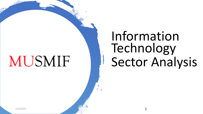# **MUSMIF**

# Information Technology Sector Analysis

2/19/2021 1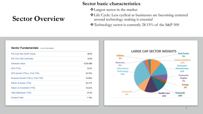### **Sector Overview**

#### **Sector basic characteristics**

- ❖Largest sector in the market
- ❖Life Cycle: Less cyclical as businesses are becoming centered around technology making it essential

❖Technology sector is currently 28.15% of the S&P 500

#### Sector Fundamentals AS OF 02/12/2021

| 48.92     |
|-----------|
| 34.94     |
| \$728.89B |
| \$3.81    |
| 30.70%    |
| 18.89%    |
| 28.37%    |
| 18.42%    |
| 87.62     |
| 1.10%     |

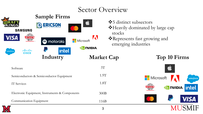### Sector Overview

|                                         | <b>Sample Firms</b>                                   |                                    |                                                                                                                    |
|-----------------------------------------|-------------------------------------------------------|------------------------------------|--------------------------------------------------------------------------------------------------------------------|
| <b>SAMSUNG</b><br>VISA.<br>smo<br>ahaha | ERICSON<br>Q<br><b>Nicrosoft</b><br><b>A</b> motorola | C<br>stocks<br>A<br><b>O NIDIA</b> | ❖ 5 distinct subsectors<br>❖ Heavily dominated by large cap<br>*Represents fast growing and<br>emerging industries |
| alesforce<br><b>CISCO</b>               | intel.<br>Industry                                    | <b>Market Cap</b>                  | Top 10 Firms                                                                                                       |
| Software                                |                                                       | 3T                                 |                                                                                                                    |
|                                         | Semiconductors & Semiconductor Equipment              | 1.9T                               | <b>Nicrosoft</b><br>salesforce                                                                                     |
| IT Services                             |                                                       | 1.8T                               | <b>DIVIDIA</b> intel                                                                                               |
|                                         | Electronic Equipment, Instruments & Components        | 300B                               |                                                                                                                    |
| Communication Equipment                 |                                                       | 116B                               |                                                                                                                    |
|                                         |                                                       | 3                                  |                                                                                                                    |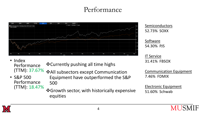### Performance



Semiconductors 52.73% SOXX

Software 54.30% PJS

IT Service 31.41% FBSOX

Communication Equipment 7.46% FDMIX

Electronic Equipment 51.60% Schwab

• Index Performance (TTM): 37.67%

❖Currently pushing all time highs

- ❖All subsectors except Communication
- S&P 500 Performance (TTM): 18.47%
- Equipment have outperformed the S&P 500

#### ❖Growth sector, with historically expensive equities

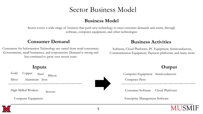### Sector Business Model

#### **Business Model**

Sector covers a wide range of business that push new technology to meet customer demands and wants, through software, computer equipment, and other technologies

#### **Consumer Demand Business Activities**

Consumers for Information Technology are varied from retail consumers, Governments, small businesses, and corporations. Demand is strong and has continued to grow over recent years.

Software, Cloud Platforms, PC Equipment, Semiconductors, Communication Equipment, Payment platforms, and many more

Gold Silver Copper Aluminum Iron Steel Silicon

High Skilled Workers

Servers

Computer Equipment



**Inputs Output**

Computer Equipment Semiconductors Computer Parts

Consumer Software Cloud Platforms

Enterprise Management Software

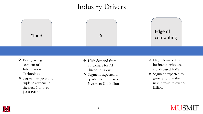### Industry Drivers



- ❖ Fast growing segment of Information Technology
- ❖ Segment expected to triple in revenue in the next 7 to over \$700 Billion
- ❖ High demand from customers for AI driven solutions
- ❖ Segment expected to quadruple in the next 5 years to \$40 Billion
- ❖ High Demand from businesses who use cloud-based EMS
- ❖ Segment expected to grow 8-fold in the next 5 years to over 8 Billion

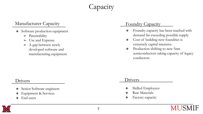## **Capacity**

#### Manufacturer Capacity

- ❖ Software production equipment
	- $\blacktriangleright$  Patentability
	- $\triangleright$  Use and Expense
	- $\blacktriangleright$  A gap between newly developed software and manufacturing equipment

#### Foundry Capacity

- ❖ Foundry capacity has been reached with demand far exceeding possible supply
- ❖ Cost of building new foundries is extremely capital intensive
- ❖ Production shifting to new 5nm semiconductors taking capacity of legacy conductors

#### Drivers

- ❖ Senior Software engineers
- Equipment & Services
- ❖ End users

#### **Drivers**

- ❖ Skilled Employees
- ❖ Raw Materials
- ❖ Factory capacity

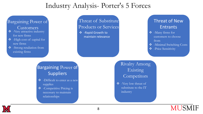### Industry Analysis- Porter's 5 Forces

#### Bargaining Power of

Customers

- ❖ -Very attractive industry for new firms
- ❖ -High cost of capital for new firms
- ❖ -Strong retaliation from existing firms

#### Threat of Substitute Products or Services

❖ -Rapid Growth to maintain relevance

#### Threat of New Entrants

- ❖ -Many firms for customers to choose from
- ❖ -Minimal Switching Costs
- ❖ -Price Sensitivity

### Bargaining Power of Suppliers

- ❖ -Difficult to enter as a new supplies
- ❖ -Competitive Pricing is necessary to maintain relationships

### Rivalry Among Existing **Competitors**

❖ -Very low threat of substitute to the IT industry



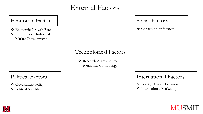### External Factors

#### Economic Factors

- ❖ Economic Growth Rate
- ❖ Indicators of Industrial Market Development

### Social Factors

❖ Consumer Preferences

### Technological Factors

❖ Research & Development (Quantum Computing)

### Political Factors

❖ Government Policy

❖ Political Stability

### International Factors

❖ Foreign Trade Operation

❖ International Marketing

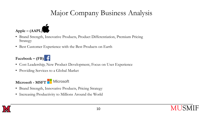## Major Company Business Analysis



- Brand Strength, Innovative Products, Product Differentiation, Premium Pricing Strategy
- Best Customer Experience with the Best Products on Earth

#### $\text{Facebook} - (\text{FB})$

- Cost Leadership, New Product Development, Focus on User Experience
- Providing Services to a Global Market

#### **Microsoft - MSFT**

- Brand Strength, Innovative Products, Pricing Strategy
- Increasing Productivity to Millions Around the World

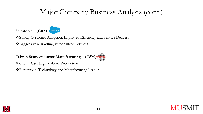## Major Company Business Analysis (cont.)



❖Strong Customer Adoption, Improved Efficiency and Service Delivery

❖Aggressive Marketing, Personalized Services

**Taiwan Semiconductor Manufacturing – (TSM)**

❖Client Base, High Volume Production

❖Reputation, Technology and Manufacturing Leader